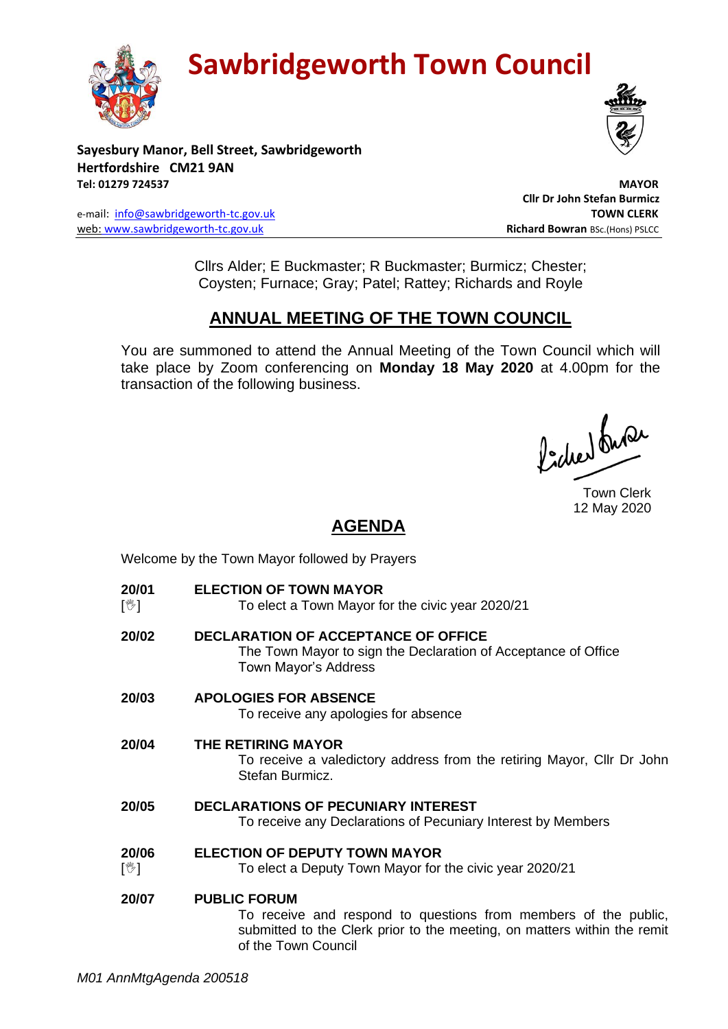**Sawbridgeworth Town Council** 





**Sayesbury Manor, Bell Street, Sawbridgeworth Hertfordshire CM21 9AN Tel: 01279 724537 MAYOR**

e-mail: [info@sawbridgeworth-tc.gov.uk](mailto:info@sawbridgeworth-tc.gov.uk) **TOWN CLERK** web: www.sawbridgeworth-tc.gov.uk<br> **Richard Bowran** BSc.(Hons) PSLCC

 **Cllr Dr John Stefan Burmicz**

Cllrs Alder; E Buckmaster; R Buckmaster; Burmicz; Chester; Coysten; Furnace; Gray; Patel; Rattey; Richards and Royle

# **ANNUAL MEETING OF THE TOWN COUNCIL**

You are summoned to attend the Annual Meeting of the Town Council which will take place by Zoom conferencing on **Monday 18 May 2020** at 4.00pm for the transaction of the following business.

Procher burer

Town Clerk 12 May 2020

## **AGENDA**

Welcome by the Town Mayor followed by Prayers

**20/01**  $\sqrt{2}$ **ELECTION OF TOWN MAYOR** To elect a Town Mayor for the civic year 2020/21 **20/02 DECLARATION OF ACCEPTANCE OF OFFICE** The Town Mayor to sign the Declaration of Acceptance of Office Town Mayor's Address **20/03 APOLOGIES FOR ABSENCE** To receive any apologies for absence **20/04 THE RETIRING MAYOR** To receive a valedictory address from the retiring Mayor, Cllr Dr John Stefan Burmicz. **20/05 DECLARATIONS OF PECUNIARY INTEREST** To receive any Declarations of Pecuniary Interest by Members **20/06**  $[\mathbb{V}]$ **ELECTION OF DEPUTY TOWN MAYOR** To elect a Deputy Town Mayor for the civic year 2020/21 **20/07 PUBLIC FORUM** To receive and respond to questions from members of the public, submitted to the Clerk prior to the meeting, on matters within the remit of the Town Council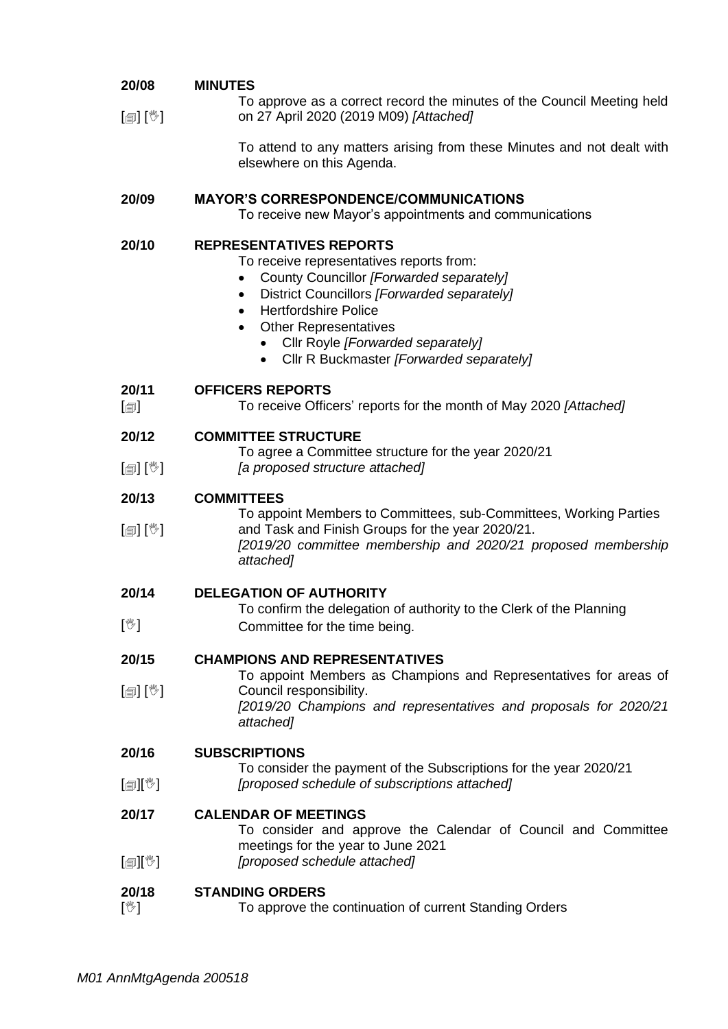#### **20/08 MINUTES**

[@] [<sup>w</sup>] To approve as a correct record the minutes of the Council Meeting held on 27 April 2020 (2019 M09) *[Attached]*

> To attend to any matters arising from these Minutes and not dealt with elsewhere on this Agenda.

### **20/09 MAYOR'S CORRESPONDENCE/COMMUNICATIONS**

To receive new Mayor's appointments and communications

### **20/10 REPRESENTATIVES REPORTS**

To receive representatives reports from:

- County Councillor *[Forwarded separately]*
- District Councillors *[Forwarded separately]*
- Hertfordshire Police
- **Other Representatives** 
	- Cllr Royle *[Forwarded separately]*
	- Cllr R Buckmaster *[Forwarded separately]*

#### **20/11 OFFICERS REPORTS**

 $\lceil$ To receive Officers' reports for the month of May 2020 *[Attached]*

#### **20/12 COMMITTEE STRUCTURE**

- To agree a Committee structure for the year 2020/21
- $\lceil$  [ $\mathbb{I}$ ]  $\lceil \mathbb{V} \rceil$ *[a proposed structure attached]*

#### **20/13 COMMITTEES**

[創] [V] To appoint Members to Committees, sub-Committees, Working Parties and Task and Finish Groups for the year 2020/21. *[2019/20 committee membership and 2020/21 proposed membership attached]*

#### **20/14 DELEGATION OF AUTHORITY**

 $\sqrt{\mathbb{Z}}$ To confirm the delegation of authority to the Clerk of the Planning Committee for the time being.

#### **20/15 CHAMPIONS AND REPRESENTATIVES**

[創] [<sup>%</sup>] To appoint Members as Champions and Representatives for areas of Council responsibility. *[2019/20 Champions and representatives and proposals for 2020/21 attached]*

#### **20/16 SUBSCRIPTIONS**

 $\mathbb{I}$ i $\mathbb{I}$ To consider the payment of the Subscriptions for the year 2020/21 *[proposed schedule of subscriptions attached]*

#### **20/17 CALENDAR OF MEETINGS**

- To consider and approve the Calendar of Council and Committee meetings for the year to June 2021
- $[\circledast]$ *[proposed schedule attached]*

#### **20/18 STANDING ORDERS**

 $\mathbb{N}$ To approve the continuation of current Standing Orders